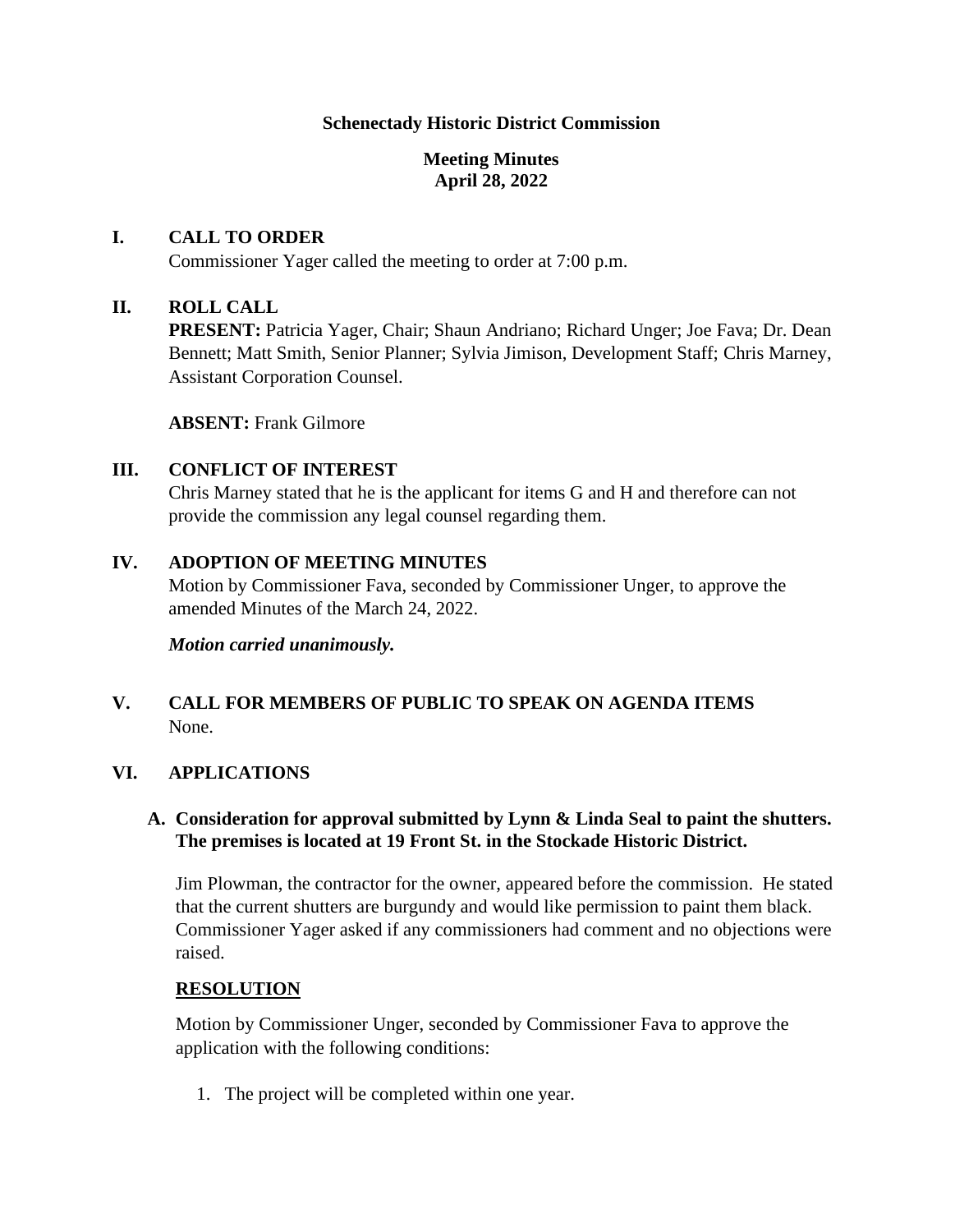#### **Schenectady Historic District Commission**

## **Meeting Minutes April 28, 2022**

#### **I. CALL TO ORDER**

Commissioner Yager called the meeting to order at 7:00 p.m.

#### **II. ROLL CALL**

**PRESENT:** Patricia Yager, Chair; Shaun Andriano; Richard Unger; Joe Fava; Dr. Dean Bennett; Matt Smith, Senior Planner; Sylvia Jimison, Development Staff; Chris Marney, Assistant Corporation Counsel.

**ABSENT:** Frank Gilmore

## **III. CONFLICT OF INTEREST**

Chris Marney stated that he is the applicant for items G and H and therefore can not provide the commission any legal counsel regarding them.

#### **IV. ADOPTION OF MEETING MINUTES**

Motion by Commissioner Fava, seconded by Commissioner Unger, to approve the amended Minutes of the March 24, 2022.

*Motion carried unanimously.* 

# **V. CALL FOR MEMBERS OF PUBLIC TO SPEAK ON AGENDA ITEMS**  None.

#### **VI. APPLICATIONS**

#### **A. Consideration for approval submitted by Lynn & Linda Seal to paint the shutters. The premises is located at 19 Front St. in the Stockade Historic District.**

Jim Plowman, the contractor for the owner, appeared before the commission. He stated that the current shutters are burgundy and would like permission to paint them black. Commissioner Yager asked if any commissioners had comment and no objections were raised.

#### **RESOLUTION**

Motion by Commissioner Unger, seconded by Commissioner Fava to approve the application with the following conditions:

1. The project will be completed within one year.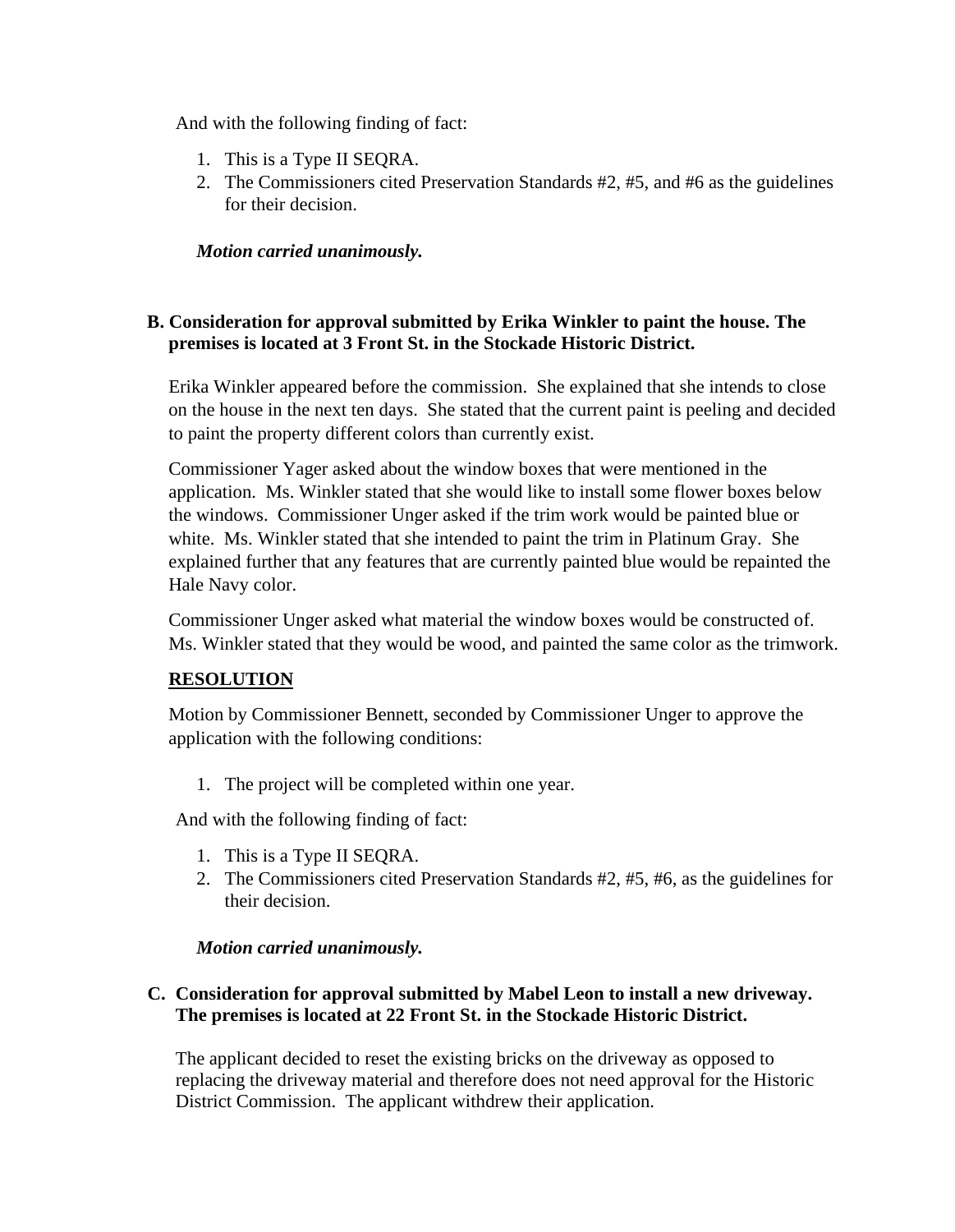And with the following finding of fact:

- 1. This is a Type II SEQRA.
- 2. The Commissioners cited Preservation Standards #2, #5, and #6 as the guidelines for their decision.

*Motion carried unanimously.* 

## **B. Consideration for approval submitted by Erika Winkler to paint the house. The premises is located at 3 Front St. in the Stockade Historic District.**

Erika Winkler appeared before the commission. She explained that she intends to close on the house in the next ten days. She stated that the current paint is peeling and decided to paint the property different colors than currently exist.

Commissioner Yager asked about the window boxes that were mentioned in the application. Ms. Winkler stated that she would like to install some flower boxes below the windows. Commissioner Unger asked if the trim work would be painted blue or white. Ms. Winkler stated that she intended to paint the trim in Platinum Gray. She explained further that any features that are currently painted blue would be repainted the Hale Navy color.

Commissioner Unger asked what material the window boxes would be constructed of. Ms. Winkler stated that they would be wood, and painted the same color as the trimwork.

## **RESOLUTION**

Motion by Commissioner Bennett, seconded by Commissioner Unger to approve the application with the following conditions:

1. The project will be completed within one year.

And with the following finding of fact:

- 1. This is a Type II SEQRA.
- 2. The Commissioners cited Preservation Standards #2, #5, #6, as the guidelines for their decision.

## *Motion carried unanimously.*

## **C. Consideration for approval submitted by Mabel Leon to install a new driveway. The premises is located at 22 Front St. in the Stockade Historic District.**

The applicant decided to reset the existing bricks on the driveway as opposed to replacing the driveway material and therefore does not need approval for the Historic District Commission. The applicant withdrew their application.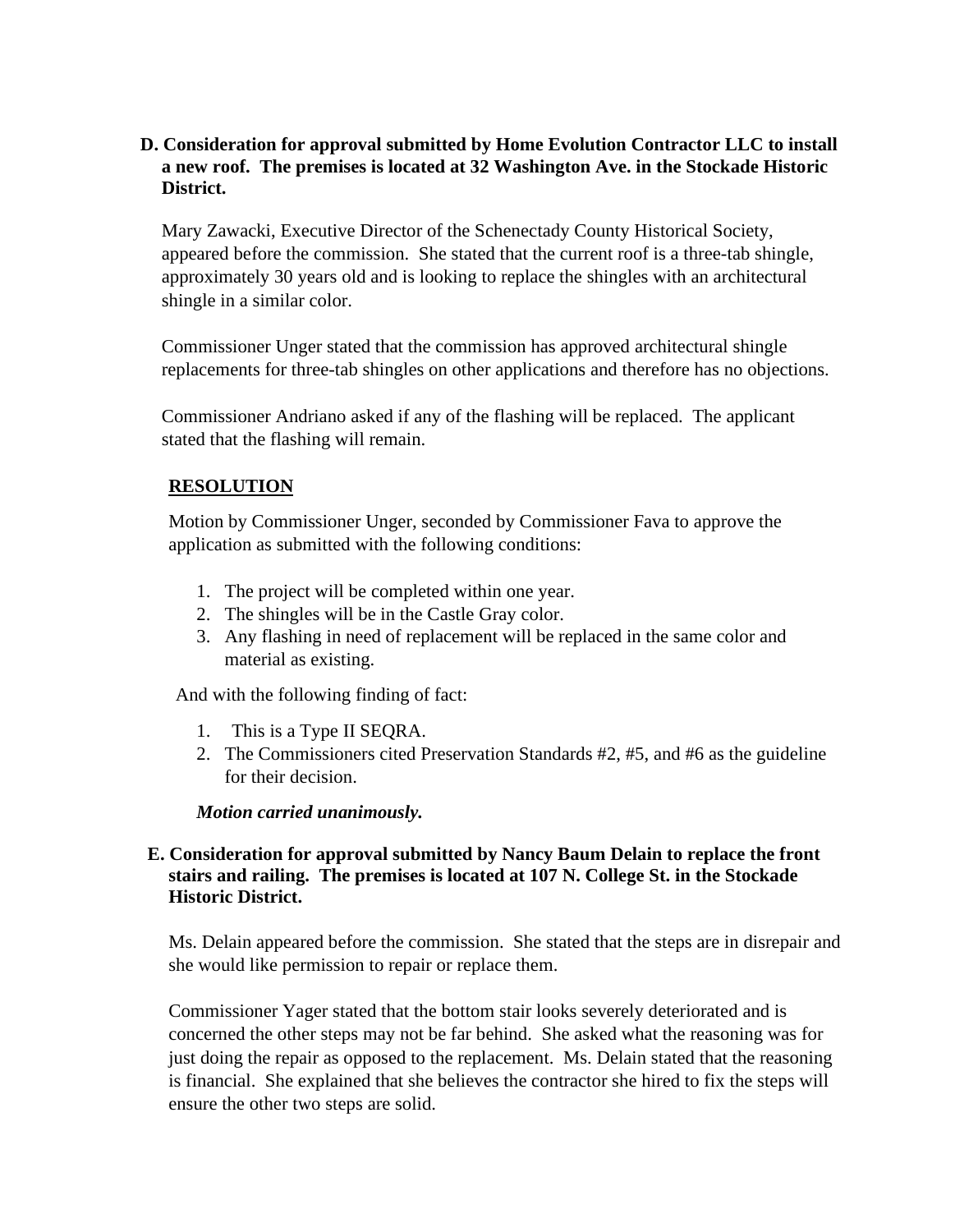## **D. Consideration for approval submitted by Home Evolution Contractor LLC to install a new roof. The premises is located at 32 Washington Ave. in the Stockade Historic District.**

Mary Zawacki, Executive Director of the Schenectady County Historical Society, appeared before the commission. She stated that the current roof is a three-tab shingle, approximately 30 years old and is looking to replace the shingles with an architectural shingle in a similar color.

Commissioner Unger stated that the commission has approved architectural shingle replacements for three-tab shingles on other applications and therefore has no objections.

Commissioner Andriano asked if any of the flashing will be replaced. The applicant stated that the flashing will remain.

# **RESOLUTION**

Motion by Commissioner Unger, seconded by Commissioner Fava to approve the application as submitted with the following conditions:

- 1. The project will be completed within one year.
- 2. The shingles will be in the Castle Gray color.
- 3. Any flashing in need of replacement will be replaced in the same color and material as existing.

And with the following finding of fact:

- 1. This is a Type II SEQRA.
- 2. The Commissioners cited Preservation Standards #2, #5, and #6 as the guideline for their decision.

*Motion carried unanimously.* 

## **E. Consideration for approval submitted by Nancy Baum Delain to replace the front stairs and railing. The premises is located at 107 N. College St. in the Stockade Historic District.**

Ms. Delain appeared before the commission. She stated that the steps are in disrepair and she would like permission to repair or replace them.

Commissioner Yager stated that the bottom stair looks severely deteriorated and is concerned the other steps may not be far behind. She asked what the reasoning was for just doing the repair as opposed to the replacement. Ms. Delain stated that the reasoning is financial. She explained that she believes the contractor she hired to fix the steps will ensure the other two steps are solid.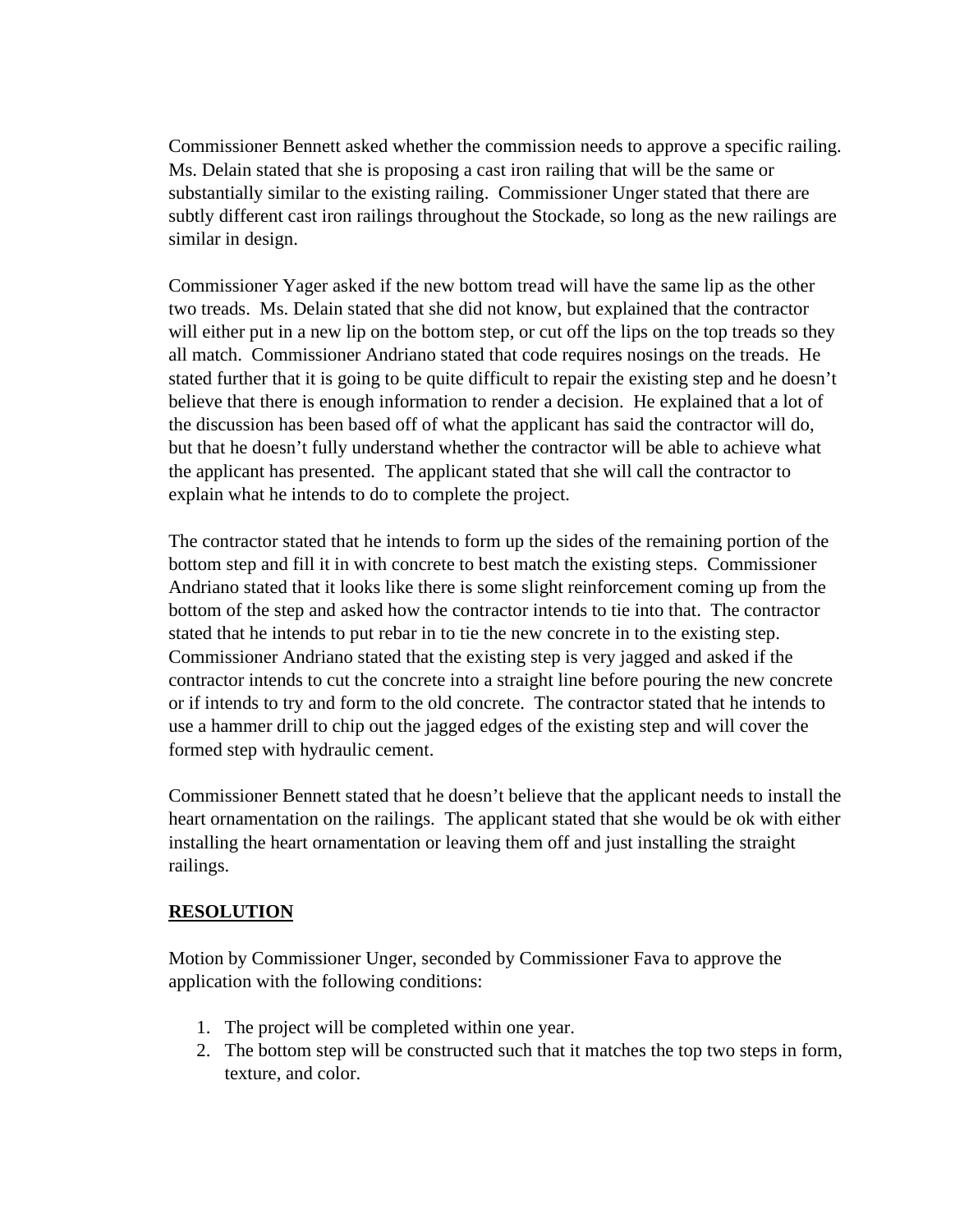Commissioner Bennett asked whether the commission needs to approve a specific railing. Ms. Delain stated that she is proposing a cast iron railing that will be the same or substantially similar to the existing railing. Commissioner Unger stated that there are subtly different cast iron railings throughout the Stockade, so long as the new railings are similar in design.

Commissioner Yager asked if the new bottom tread will have the same lip as the other two treads. Ms. Delain stated that she did not know, but explained that the contractor will either put in a new lip on the bottom step, or cut off the lips on the top treads so they all match. Commissioner Andriano stated that code requires nosings on the treads. He stated further that it is going to be quite difficult to repair the existing step and he doesn't believe that there is enough information to render a decision. He explained that a lot of the discussion has been based off of what the applicant has said the contractor will do, but that he doesn't fully understand whether the contractor will be able to achieve what the applicant has presented. The applicant stated that she will call the contractor to explain what he intends to do to complete the project.

The contractor stated that he intends to form up the sides of the remaining portion of the bottom step and fill it in with concrete to best match the existing steps. Commissioner Andriano stated that it looks like there is some slight reinforcement coming up from the bottom of the step and asked how the contractor intends to tie into that. The contractor stated that he intends to put rebar in to tie the new concrete in to the existing step. Commissioner Andriano stated that the existing step is very jagged and asked if the contractor intends to cut the concrete into a straight line before pouring the new concrete or if intends to try and form to the old concrete. The contractor stated that he intends to use a hammer drill to chip out the jagged edges of the existing step and will cover the formed step with hydraulic cement.

Commissioner Bennett stated that he doesn't believe that the applicant needs to install the heart ornamentation on the railings. The applicant stated that she would be ok with either installing the heart ornamentation or leaving them off and just installing the straight railings.

## **RESOLUTION**

Motion by Commissioner Unger, seconded by Commissioner Fava to approve the application with the following conditions:

- 1. The project will be completed within one year.
- 2. The bottom step will be constructed such that it matches the top two steps in form, texture, and color.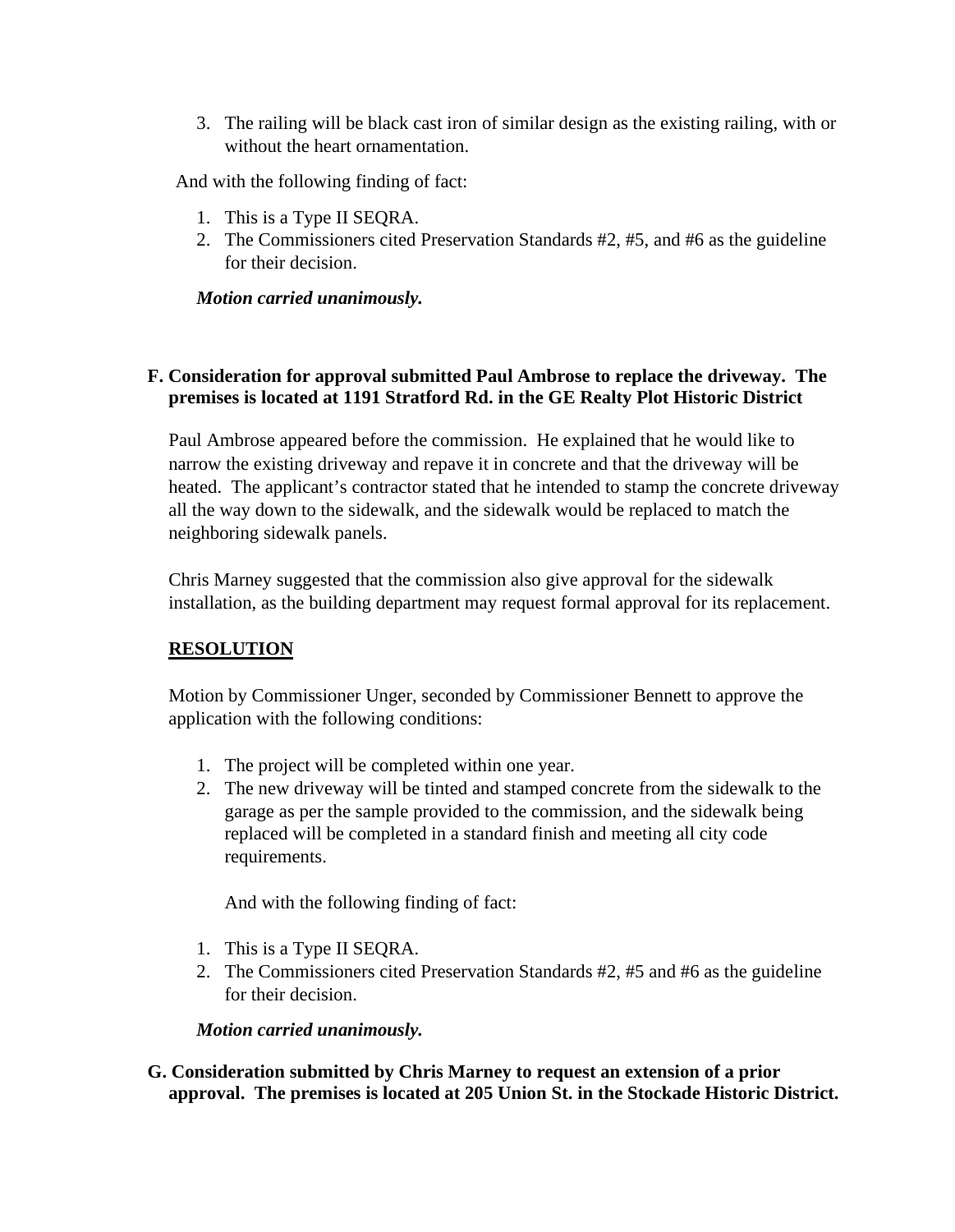3. The railing will be black cast iron of similar design as the existing railing, with or without the heart ornamentation.

And with the following finding of fact:

- 1. This is a Type II SEQRA.
- 2. The Commissioners cited Preservation Standards #2, #5, and #6 as the guideline for their decision.

#### *Motion carried unanimously.*

## **F. Consideration for approval submitted Paul Ambrose to replace the driveway. The premises is located at 1191 Stratford Rd. in the GE Realty Plot Historic District**

Paul Ambrose appeared before the commission. He explained that he would like to narrow the existing driveway and repave it in concrete and that the driveway will be heated. The applicant's contractor stated that he intended to stamp the concrete driveway all the way down to the sidewalk, and the sidewalk would be replaced to match the neighboring sidewalk panels.

Chris Marney suggested that the commission also give approval for the sidewalk installation, as the building department may request formal approval for its replacement.

## **RESOLUTION**

Motion by Commissioner Unger, seconded by Commissioner Bennett to approve the application with the following conditions:

- 1. The project will be completed within one year.
- 2. The new driveway will be tinted and stamped concrete from the sidewalk to the garage as per the sample provided to the commission, and the sidewalk being replaced will be completed in a standard finish and meeting all city code requirements.

And with the following finding of fact:

- 1. This is a Type II SEQRA.
- 2. The Commissioners cited Preservation Standards #2, #5 and #6 as the guideline for their decision.

*Motion carried unanimously.* 

**G. Consideration submitted by Chris Marney to request an extension of a prior approval. The premises is located at 205 Union St. in the Stockade Historic District.**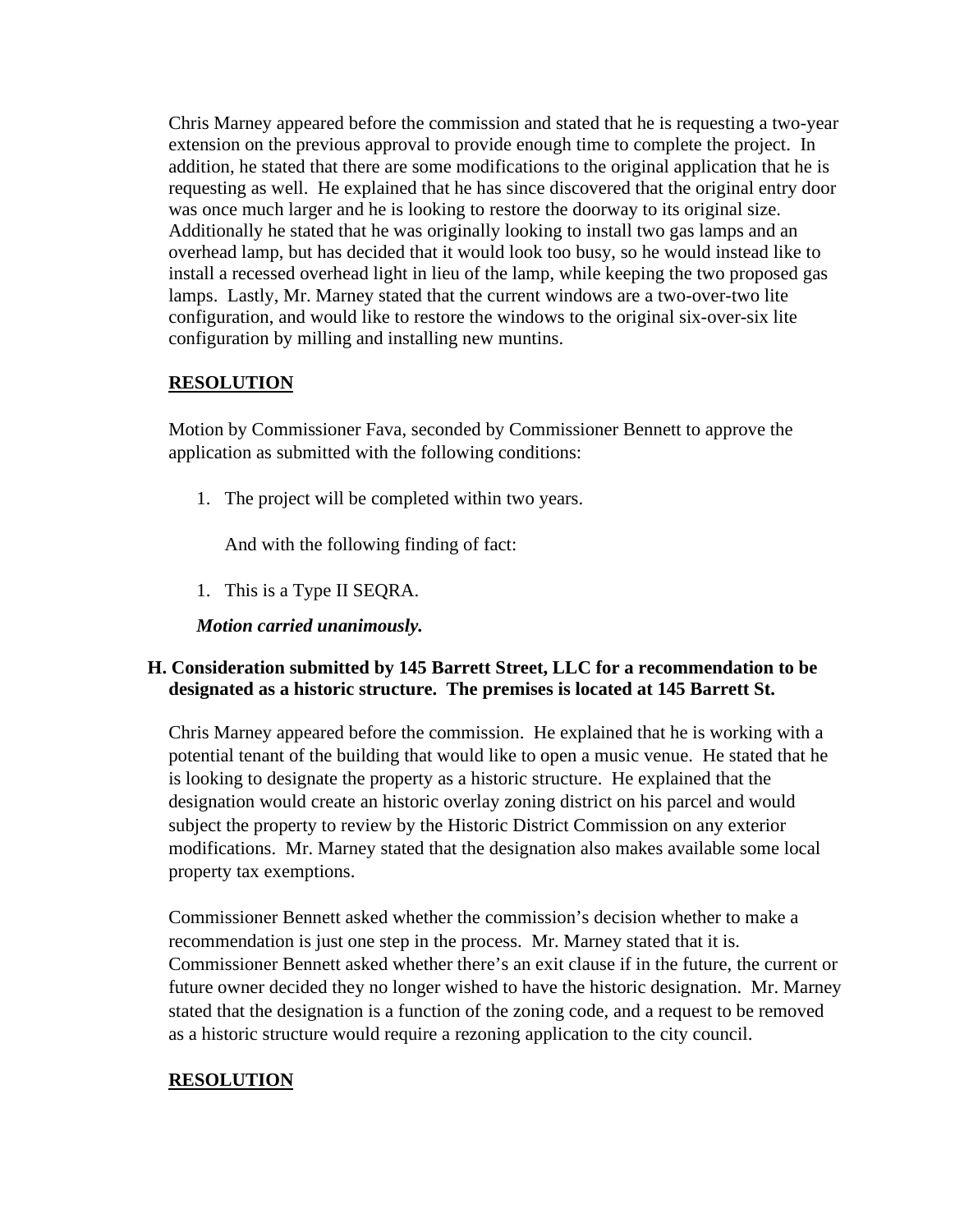Chris Marney appeared before the commission and stated that he is requesting a two-year extension on the previous approval to provide enough time to complete the project. In addition, he stated that there are some modifications to the original application that he is requesting as well. He explained that he has since discovered that the original entry door was once much larger and he is looking to restore the doorway to its original size. Additionally he stated that he was originally looking to install two gas lamps and an overhead lamp, but has decided that it would look too busy, so he would instead like to install a recessed overhead light in lieu of the lamp, while keeping the two proposed gas lamps. Lastly, Mr. Marney stated that the current windows are a two-over-two lite configuration, and would like to restore the windows to the original six-over-six lite configuration by milling and installing new muntins.

#### **RESOLUTION**

Motion by Commissioner Fava, seconded by Commissioner Bennett to approve the application as submitted with the following conditions:

1. The project will be completed within two years.

And with the following finding of fact:

1. This is a Type II SEQRA.

*Motion carried unanimously.* 

## **H. Consideration submitted by 145 Barrett Street, LLC for a recommendation to be designated as a historic structure. The premises is located at 145 Barrett St.**

Chris Marney appeared before the commission. He explained that he is working with a potential tenant of the building that would like to open a music venue. He stated that he is looking to designate the property as a historic structure. He explained that the designation would create an historic overlay zoning district on his parcel and would subject the property to review by the Historic District Commission on any exterior modifications. Mr. Marney stated that the designation also makes available some local property tax exemptions.

Commissioner Bennett asked whether the commission's decision whether to make a recommendation is just one step in the process. Mr. Marney stated that it is. Commissioner Bennett asked whether there's an exit clause if in the future, the current or future owner decided they no longer wished to have the historic designation. Mr. Marney stated that the designation is a function of the zoning code, and a request to be removed as a historic structure would require a rezoning application to the city council.

## **RESOLUTION**